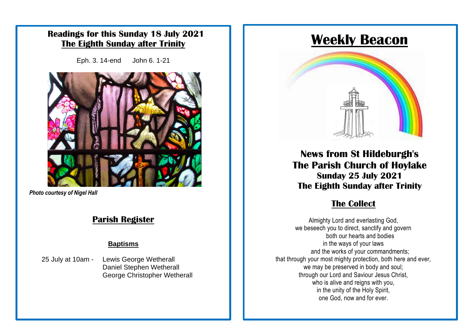### **Readings for this Sunday 18 July 2021 The Eighth Sunday after Trinity**

Eph. 3. 14-end John 6. 1-21



**Photo courtesy of Nigel Hall** 

### **Parish Register**

### **Baptisms**

25 July at 10am - Lewis George Wetherall Daniel Stephen Wetherall George Christopher Wetherall

# **Weekly Beacon**



**News from St Hildeburgh's The Parish Church of Hoylake Sunday 25 July 2021 The Eighth Sunday after Trinity**

### **The Collect**

Almighty Lord and everlasting God, we beseech you to direct, sanctify and govern both our hearts and bodies in the ways of your laws and the works of your commandments; that through your most mighty protection, both here and ever, we may be preserved in body and soul; through our Lord and Saviour Jesus Christ, who is alive and reigns with you, in the unity of the Holy Spirit, one God, now and for ever.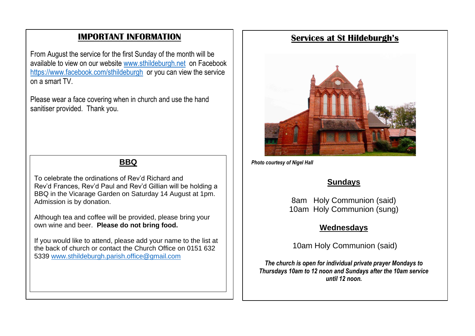### **IMPORTANT INFORMATION**

From August the service for the first Sunday of the month will be available to view on our website [www.sthildeburgh.net](http://www.sthildeburgh.net/) on Facebook <https://www.facebook.com/sthildeburgh>or you can view the service on a smart TV.

Please wear a face covering when in church and use the hand sanitiser provided. Thank you.

To celebrate the ordinations of Rev'd Richard and Rev'd Frances, Rev'd Paul and Rev'd Gillian will be holding a BBQ in the Vicarage Garden on Saturday 14 August at 1pm. Admission is by donation.

Although tea and coffee will be provided, please bring your own wine and beer. **Please do not bring food.**

If you would like to attend, please add your name to the list at the back of church or contact the Church Office on 0151 632 5339 [www.sthildeburgh.parish.office@gmail.com](http://www.sthildeburgh.parish.office@gmail.com)

### **Services at St Hildeburgh's**



**BBQ** *Photo courtesy of Nigel Hall* 

### **Sundays**

8am Holy Communion (said) 10am Holy Communion (sung)

### **Wednesdays**

10am Holy Communion (said)

*The church is open for individual private prayer Mondays to Thursdays 10am to 12 noon and Sundays after the 10am service until 12 noon.*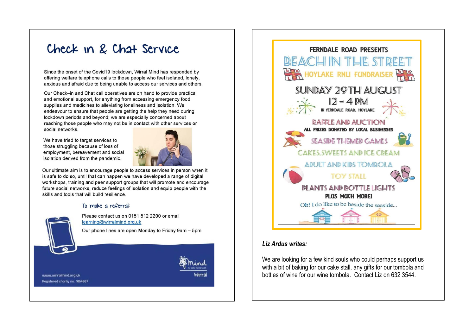# Check in & Chat Service

Since the onset of the Covid19 lockdown, Wirral Mind has responded by offering welfare telephone calls to those people who feel isolated, lonely, anxious and afraid due to being unable to access our services and others.

Our Check-in and Chat call operatives are on hand to provide practical and emotional support, for anything from accessing emergency food supplies and medicines to alleviating loneliness and isolation. We endeavour to ensure that people are getting the help they need during lockdown periods and beyond; we are especially concerned about reaching those people who may not be in contact with other services or social networks.

We have tried to target services to those struggling because of loss of employment, bereavement and social isolation derived from the pandemic.



Our ultimate aim is to encourage people to access services in person when it is safe to do so, until that can happen we have developed a range of digital workshops, training and peer support groups that will promote and encourage future social networks, reduce feelings of isolation and equip people with the skills and tools that will build resilience.

#### To make a referral:



Please contact us on 0151 512 2200 or email learning@wirralmind.org.uk

Our phone lines are open Monday to Friday 9am - 5pm

www.wirralmind.org.uk Registered charity no. 1864887



#### Liz Ardus writes:

We are looking for a few kind souls who could perhaps support us with a bit of baking for our cake stall, any gifts for our tombola and bottles of wine for our wine tombola. Contact Liz on 632 3544.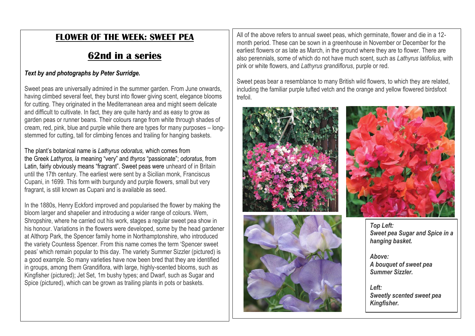### **FLOWER OF THE WEEK: SWEET PEA**

## **62nd in a series**

### *Text by and photographs by Peter Surridge.*

Sweet peas are universally admired in the summer garden. From June onwards, having climbed several feet, they burst into flower giving scent, elegance blooms for cutting. They originated in the Mediterranean area and might seem delicate and difficult to cultivate. In fact, they are quite hardy and as easy to grow as garden peas or runner beans. Their colours range from white through shades of cream, red, pink, blue and purple while there are types for many purposes – longstemmed for cutting, tall for climbing fences and trailing for hanging baskets.

The plant's botanical name is *Lathyrus odoratus,* which comes from the Greek *Lathyros*, *la* meaning "very" and *thyros* "passionate"; *odoratus*, from Latin, fairly obviously means "fragrant". Sweet peas were unheard of in Britain until the 17th century. The earliest were sent by a Sicilian monk, Franciscus Cupani, in 1699. This form with burgundy and purple flowers, small but very fragrant, is still known as Cupani and is available as seed.

In the 1880s, Henry Eckford improved and popularised the flower by making the bloom larger and shapelier and introducing a wider range of colours. Wem, Shropshire, where he carried out his work, stages a regular sweet pea show in his honour. Variations in the flowers were developed, some by the head gardener at Althorp Park, the Spencer family home in Northamptonshire, who introduced the variety Countess Spencer. From this name comes the term 'Spencer sweet peas' which remain popular to this day. The variety Summer Sizzler (pictured) is a good example. So many varieties have now been bred that they are identified in groups, among them Grandiflora, with large, highly-scented blooms, such as Kingfisher (pictured); Jet Set, 1m bushy types; and Dwarf, such as Sugar and Spice (pictured), which can be grown as trailing plants in pots or baskets.

All of the above refers to annual sweet peas, which germinate, flower and die in a 12 month period. These can be sown in a greenhouse in November or December for the earliest flowers or as late as March, in the ground where they are to flower. There are also perennials, some of which do not have much scent, such as *Lathyrus latifolius*, with pink or white flowers, and *Lathyrus grandiflorus*, purple or red.

Sweet peas bear a resemblance to many British wild flowers, to which they are related, including the familiar purple tufted vetch and the orange and yellow flowered birdsfoot trefoil.







*Top Left: Sweet pea Sugar and Spice in a hanging basket.*

*Above: A bouquet of sweet pea Summer Sizzler.*

*Left: Sweetly scented sweet pea Kingfisher.*